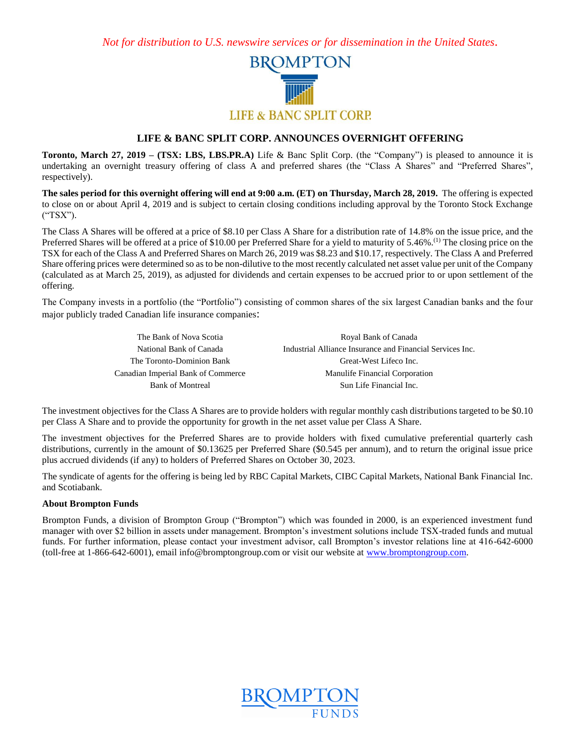*Not for distribution to U.S. newswire services or for dissemination in the United States.*



## **LIFE & BANC SPLIT CORP. ANNOUNCES OVERNIGHT OFFERING**

**Toronto, March 27, 2019 – (TSX: LBS, LBS.PR.A)** Life & Banc Split Corp. (the "Company") is pleased to announce it is undertaking an overnight treasury offering of class A and preferred shares (the "Class A Shares" and "Preferred Shares", respectively).

**The sales period for this overnight offering will end at 9:00 a.m. (ET) on Thursday, March 28, 2019.** The offering is expected to close on or about April 4, 2019 and is subject to certain closing conditions including approval by the Toronto Stock Exchange ("TSX").

The Class A Shares will be offered at a price of \$8.10 per Class A Share for a distribution rate of 14.8% on the issue price, and the Preferred Shares will be offered at a price of \$10.00 per Preferred Share for a yield to maturity of 5.46%.<sup>(1)</sup> The closing price on the TSX for each of the Class A and Preferred Shares on March 26, 2019 was \$8.23 and \$10.17, respectively. The Class A and Preferred Share offering prices were determined so as to be non-dilutive to the most recently calculated net asset value per unit of the Company (calculated as at March 25, 2019), as adjusted for dividends and certain expenses to be accrued prior to or upon settlement of the offering.

The Company invests in a portfolio (the "Portfolio") consisting of common shares of the six largest Canadian banks and the four major publicly traded Canadian life insurance companies:

| The Bank of Nova Scotia            | Royal Bank of Canada                                      |
|------------------------------------|-----------------------------------------------------------|
| National Bank of Canada            | Industrial Alliance Insurance and Financial Services Inc. |
| The Toronto-Dominion Bank          | Great-West Lifeco Inc.                                    |
| Canadian Imperial Bank of Commerce | Manulife Financial Corporation                            |
| <b>Bank of Montreal</b>            | Sun Life Financial Inc.                                   |

The investment objectives for the Class A Shares are to provide holders with regular monthly cash distributions targeted to be \$0.10 per Class A Share and to provide the opportunity for growth in the net asset value per Class A Share.

The investment objectives for the Preferred Shares are to provide holders with fixed cumulative preferential quarterly cash distributions, currently in the amount of \$0.13625 per Preferred Share (\$0.545 per annum), and to return the original issue price plus accrued dividends (if any) to holders of Preferred Shares on October 30, 2023.

The syndicate of agents for the offering is being led by RBC Capital Markets, CIBC Capital Markets, National Bank Financial Inc. and Scotiabank.

### **About Brompton Funds**

Brompton Funds, a division of Brompton Group ("Brompton") which was founded in 2000, is an experienced investment fund manager with over \$2 billion in assets under management. Brompton's investment solutions include TSX-traded funds and mutual funds. For further information, please contact your investment advisor, call Brompton's investor relations line at 416-642-6000 (toll-free at 1-866-642-6001), email info@bromptongroup.com or visit our website at [www.bromptongroup.com.](http://www.bromptongroup.com/)